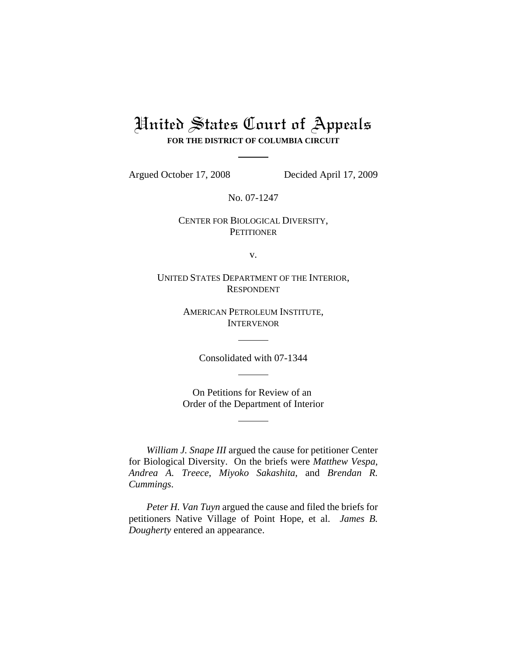# United States Court of Appeals **FOR THE DISTRICT OF COLUMBIA CIRCUIT**

Argued October 17, 2008 Decided April 17, 2009

No. 07-1247

## CENTER FOR BIOLOGICAL DIVERSITY, **PETITIONER**

v.

UNITED STATES DEPARTMENT OF THE INTERIOR, RESPONDENT

> AMERICAN PETROLEUM INSTITUTE, INTERVENOR

> > Consolidated with 07-1344

On Petitions for Review of an Order of the Department of Interior

*William J. Snape III* argued the cause for petitioner Center for Biological Diversity. On the briefs were *Matthew Vespa*, *Andrea A. Treece*, *Miyoko Sakashita*, and *Brendan R. Cummings*.

*Peter H. Van Tuyn* argued the cause and filed the briefs for petitioners Native Village of Point Hope, et al. *James B. Dougherty* entered an appearance.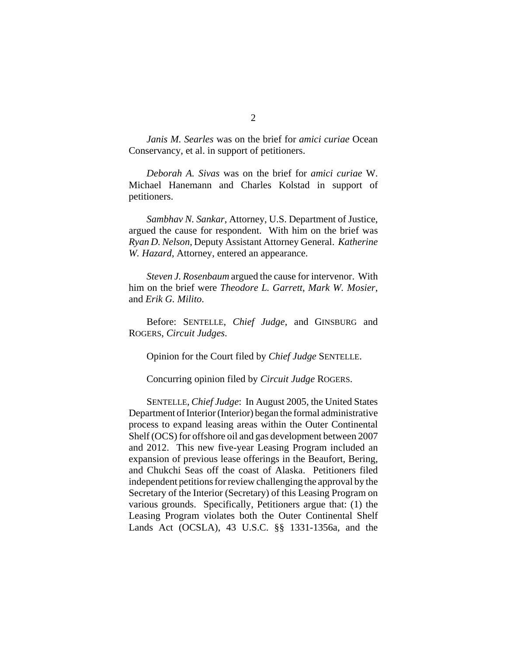*Janis M. Searles* was on the brief for *amici curiae* Ocean Conservancy, et al. in support of petitioners.

*Deborah A. Sivas* was on the brief for *amici curiae* W. Michael Hanemann and Charles Kolstad in support of petitioners.

*Sambhav N. Sankar*, Attorney, U.S. Department of Justice, argued the cause for respondent. With him on the brief was *Ryan D. Nelson*, Deputy Assistant Attorney General. *Katherine W. Hazard*, Attorney, entered an appearance.

*Steven J. Rosenbaum* argued the cause for intervenor. With him on the brief were *Theodore L. Garrett*, *Mark W. Mosier*, and *Erik G. Milito*.

Before: SENTELLE, *Chief Judge*, and GINSBURG and ROGERS, *Circuit Judges*.

Opinion for the Court filed by *Chief Judge* SENTELLE.

Concurring opinion filed by *Circuit Judge* ROGERS.

SENTELLE, *Chief Judge*: In August 2005, the United States Department of Interior (Interior) began the formal administrative process to expand leasing areas within the Outer Continental Shelf (OCS) for offshore oil and gas development between 2007 and 2012. This new five-year Leasing Program included an expansion of previous lease offerings in the Beaufort, Bering, and Chukchi Seas off the coast of Alaska. Petitioners filed independent petitions for review challenging the approval by the Secretary of the Interior (Secretary) of this Leasing Program on various grounds. Specifically, Petitioners argue that: (1) the Leasing Program violates both the Outer Continental Shelf Lands Act (OCSLA), 43 U.S.C. §§ 1331-1356a, and the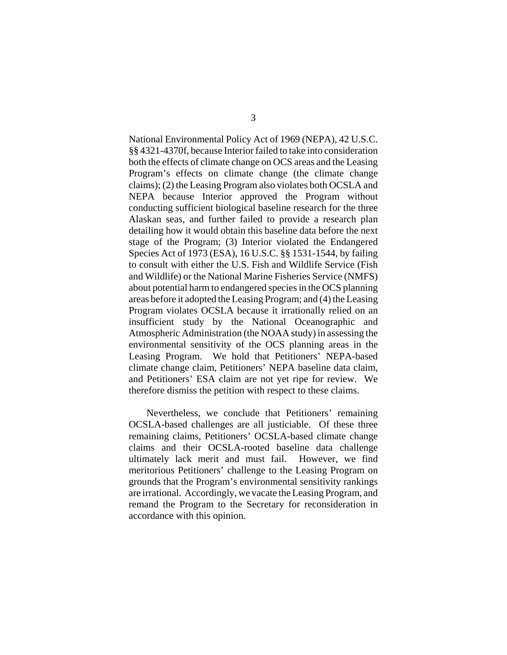National Environmental Policy Act of 1969 (NEPA), 42 U.S.C. §§ 4321-4370f, because Interior failed to take into consideration both the effects of climate change on OCS areas and the Leasing Program's effects on climate change (the climate change claims); (2) the Leasing Program also violates both OCSLA and NEPA because Interior approved the Program without conducting sufficient biological baseline research for the three Alaskan seas, and further failed to provide a research plan detailing how it would obtain this baseline data before the next stage of the Program; (3) Interior violated the Endangered Species Act of 1973 (ESA), 16 U.S.C. §§ 1531-1544, by failing to consult with either the U.S. Fish and Wildlife Service (Fish and Wildlife) or the National Marine Fisheries Service (NMFS) about potential harm to endangered species in the OCS planning areas before it adopted the Leasing Program; and (4) the Leasing Program violates OCSLA because it irrationally relied on an insufficient study by the National Oceanographic and Atmospheric Administration (the NOAA study) in assessing the environmental sensitivity of the OCS planning areas in the Leasing Program. We hold that Petitioners' NEPA-based climate change claim, Petitioners' NEPA baseline data claim, and Petitioners' ESA claim are not yet ripe for review. We therefore dismiss the petition with respect to these claims.

Nevertheless, we conclude that Petitioners' remaining OCSLA-based challenges are all justiciable. Of these three remaining claims, Petitioners' OCSLA-based climate change claims and their OCSLA-rooted baseline data challenge ultimately lack merit and must fail. However, we find meritorious Petitioners' challenge to the Leasing Program on grounds that the Program's environmental sensitivity rankings are irrational. Accordingly, we vacate the Leasing Program, and remand the Program to the Secretary for reconsideration in accordance with this opinion.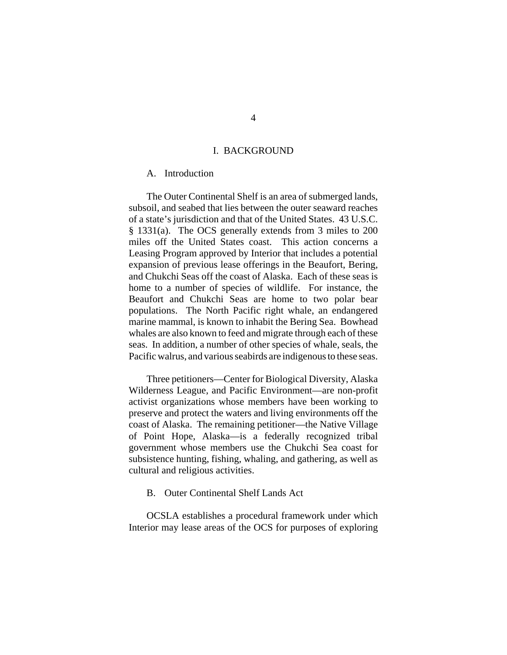### I. BACKGROUND

#### A. Introduction

The Outer Continental Shelf is an area of submerged lands, subsoil, and seabed that lies between the outer seaward reaches of a state's jurisdiction and that of the United States. 43 U.S.C. § 1331(a). The OCS generally extends from 3 miles to 200 miles off the United States coast. This action concerns a Leasing Program approved by Interior that includes a potential expansion of previous lease offerings in the Beaufort, Bering, and Chukchi Seas off the coast of Alaska. Each of these seas is home to a number of species of wildlife. For instance, the Beaufort and Chukchi Seas are home to two polar bear populations. The North Pacific right whale, an endangered marine mammal, is known to inhabit the Bering Sea. Bowhead whales are also known to feed and migrate through each of these seas. In addition, a number of other species of whale, seals, the Pacific walrus, and various seabirds are indigenous to these seas.

Three petitioners—Center for Biological Diversity, Alaska Wilderness League, and Pacific Environment—are non-profit activist organizations whose members have been working to preserve and protect the waters and living environments off the coast of Alaska. The remaining petitioner—the Native Village of Point Hope, Alaska—is a federally recognized tribal government whose members use the Chukchi Sea coast for subsistence hunting, fishing, whaling, and gathering, as well as cultural and religious activities.

B. Outer Continental Shelf Lands Act

OCSLA establishes a procedural framework under which Interior may lease areas of the OCS for purposes of exploring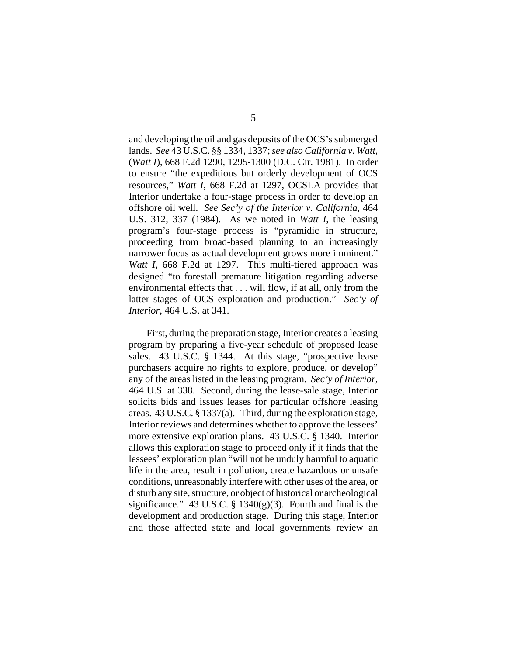and developing the oil and gas deposits of the OCS's submerged lands. *See* 43 U.S.C. §§ 1334, 1337; *see also California v. Watt*, (*Watt I*), 668 F.2d 1290, 1295-1300 (D.C. Cir. 1981). In order to ensure "the expeditious but orderly development of OCS resources," *Watt I*, 668 F.2d at 1297, OCSLA provides that Interior undertake a four-stage process in order to develop an offshore oil well. *See Sec'y of the Interior v. California*, 464 U.S. 312, 337 (1984). As we noted in *Watt I*, the leasing program's four-stage process is "pyramidic in structure, proceeding from broad-based planning to an increasingly narrower focus as actual development grows more imminent." *Watt I*, 668 F.2d at 1297. This multi-tiered approach was designed "to forestall premature litigation regarding adverse environmental effects that . . . will flow, if at all, only from the latter stages of OCS exploration and production." *Sec'y of Interior*, 464 U.S. at 341.

First, during the preparation stage, Interior creates a leasing program by preparing a five-year schedule of proposed lease sales. 43 U.S.C. § 1344. At this stage, "prospective lease purchasers acquire no rights to explore, produce, or develop" any of the areas listed in the leasing program. *Sec'y of Interior*, 464 U.S. at 338. Second, during the lease-sale stage, Interior solicits bids and issues leases for particular offshore leasing areas. 43 U.S.C. § 1337(a). Third, during the exploration stage, Interior reviews and determines whether to approve the lessees' more extensive exploration plans. 43 U.S.C. § 1340. Interior allows this exploration stage to proceed only if it finds that the lessees' exploration plan "will not be unduly harmful to aquatic life in the area, result in pollution, create hazardous or unsafe conditions, unreasonably interfere with other uses of the area, or disturb any site, structure, or object of historical or archeological significance." 43 U.S.C. § 1340 $(g)(3)$ . Fourth and final is the development and production stage. During this stage, Interior and those affected state and local governments review an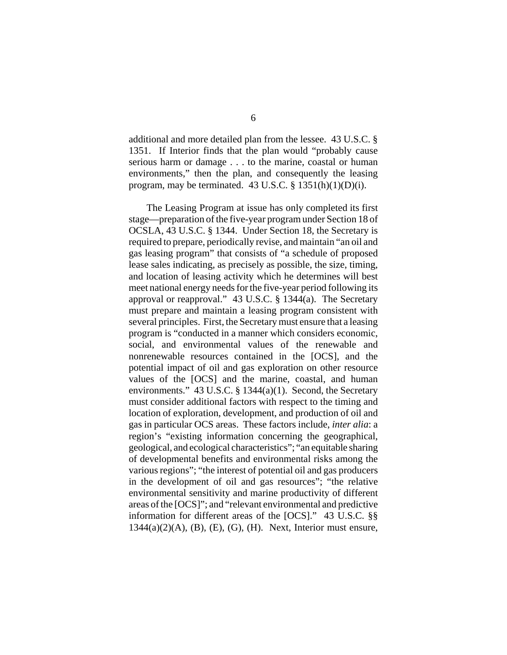additional and more detailed plan from the lessee. 43 U.S.C. § 1351. If Interior finds that the plan would "probably cause serious harm or damage . . . to the marine, coastal or human environments," then the plan, and consequently the leasing program, may be terminated.  $43 \text{ U.S.C.} \$ §  $1351(h)(1)(D)(i)$ .

 The Leasing Program at issue has only completed its first stage—preparation of the five-year program under Section 18 of OCSLA, 43 U.S.C. § 1344. Under Section 18, the Secretary is required to prepare, periodically revise, and maintain "an oil and gas leasing program" that consists of "a schedule of proposed lease sales indicating, as precisely as possible, the size, timing, and location of leasing activity which he determines will best meet national energy needs for the five-year period following its approval or reapproval." 43 U.S.C. § 1344(a). The Secretary must prepare and maintain a leasing program consistent with several principles. First, the Secretary must ensure that a leasing program is "conducted in a manner which considers economic, social, and environmental values of the renewable and nonrenewable resources contained in the [OCS], and the potential impact of oil and gas exploration on other resource values of the [OCS] and the marine, coastal, and human environments." 43 U.S.C. § 1344(a)(1). Second, the Secretary must consider additional factors with respect to the timing and location of exploration, development, and production of oil and gas in particular OCS areas. These factors include, *inter alia*: a region's "existing information concerning the geographical, geological, and ecological characteristics"; "an equitable sharing of developmental benefits and environmental risks among the various regions"; "the interest of potential oil and gas producers in the development of oil and gas resources"; "the relative environmental sensitivity and marine productivity of different areas of the [OCS]"; and "relevant environmental and predictive information for different areas of the [OCS]." 43 U.S.C. §§  $1344(a)(2)(A)$ ,  $(B)$ ,  $(E)$ ,  $(G)$ ,  $(H)$ . Next, Interior must ensure,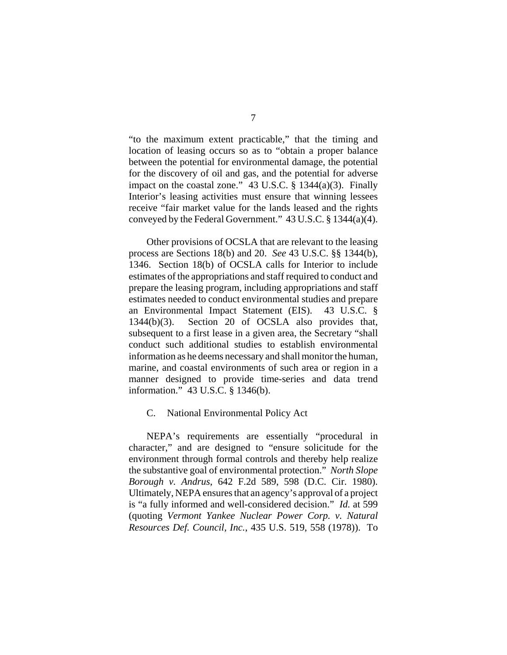"to the maximum extent practicable," that the timing and location of leasing occurs so as to "obtain a proper balance between the potential for environmental damage, the potential for the discovery of oil and gas, and the potential for adverse impact on the coastal zone." 43 U.S.C. § 1344(a)(3). Finally Interior's leasing activities must ensure that winning lessees receive "fair market value for the lands leased and the rights conveyed by the Federal Government." 43 U.S.C. § 1344(a)(4).

Other provisions of OCSLA that are relevant to the leasing process are Sections 18(b) and 20. *See* 43 U.S.C. §§ 1344(b), 1346. Section 18(b) of OCSLA calls for Interior to include estimates of the appropriations and staff required to conduct and prepare the leasing program, including appropriations and staff estimates needed to conduct environmental studies and prepare an Environmental Impact Statement (EIS). 43 U.S.C. § 1344(b)(3). Section 20 of OCSLA also provides that, subsequent to a first lease in a given area, the Secretary "shall conduct such additional studies to establish environmental information as he deems necessary and shall monitor the human, marine, and coastal environments of such area or region in a manner designed to provide time-series and data trend information." 43 U.S.C. § 1346(b).

#### C. National Environmental Policy Act

NEPA's requirements are essentially "procedural in character," and are designed to "ensure solicitude for the environment through formal controls and thereby help realize the substantive goal of environmental protection." *North Slope Borough v. Andrus*, 642 F.2d 589, 598 (D.C. Cir. 1980). Ultimately, NEPA ensures that an agency's approval of a project is "a fully informed and well-considered decision." *Id.* at 599 (quoting *Vermont Yankee Nuclear Power Corp. v. Natural Resources Def. Council, Inc.*, 435 U.S. 519, 558 (1978)). To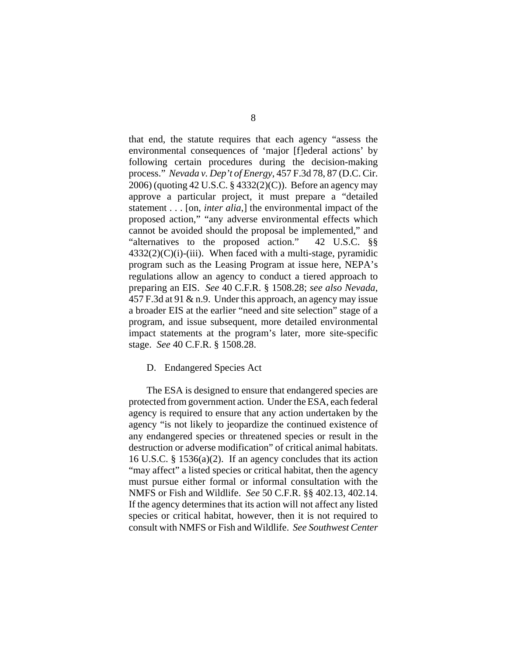that end, the statute requires that each agency "assess the environmental consequences of 'major [f]ederal actions' by following certain procedures during the decision-making process." *Nevada v. Dep't of Energy*, 457 F.3d 78, 87 (D.C. Cir. 2006) (quoting 42 U.S.C. § 4332(2)(C)). Before an agency may approve a particular project, it must prepare a "detailed statement . . . [on, *inter alia*,] the environmental impact of the proposed action," "any adverse environmental effects which cannot be avoided should the proposal be implemented," and "alternatives to the proposed action." 42 U.S.C. §§  $4332(2)(C)(i)$ -(iii). When faced with a multi-stage, pyramidic program such as the Leasing Program at issue here, NEPA's regulations allow an agency to conduct a tiered approach to preparing an EIS. *See* 40 C.F.R. § 1508.28; *see also Nevada*, 457 F.3d at 91 & n.9. Under this approach, an agency may issue a broader EIS at the earlier "need and site selection" stage of a program, and issue subsequent, more detailed environmental impact statements at the program's later, more site-specific stage. *See* 40 C.F.R. § 1508.28.

## D. Endangered Species Act

The ESA is designed to ensure that endangered species are protected from government action. Under the ESA, each federal agency is required to ensure that any action undertaken by the agency "is not likely to jeopardize the continued existence of any endangered species or threatened species or result in the destruction or adverse modification" of critical animal habitats. 16 U.S.C. § 1536(a)(2). If an agency concludes that its action "may affect" a listed species or critical habitat, then the agency must pursue either formal or informal consultation with the NMFS or Fish and Wildlife. *See* 50 C.F.R. §§ 402.13, 402.14. If the agency determines that its action will not affect any listed species or critical habitat, however, then it is not required to consult with NMFS or Fish and Wildlife. *See Southwest Center*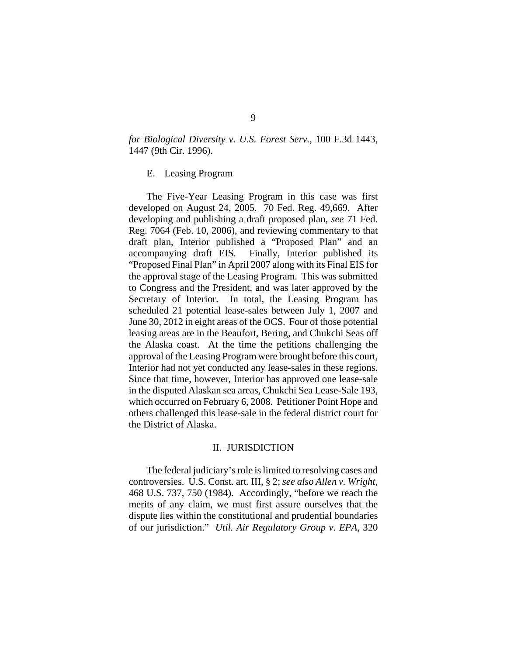*for Biological Diversity v. U.S. Forest Serv.*, 100 F.3d 1443, 1447 (9th Cir. 1996).

#### E. Leasing Program

The Five-Year Leasing Program in this case was first developed on August 24, 2005. 70 Fed. Reg. 49,669. After developing and publishing a draft proposed plan, *see* 71 Fed. Reg. 7064 (Feb. 10, 2006), and reviewing commentary to that draft plan, Interior published a "Proposed Plan" and an accompanying draft EIS. Finally, Interior published its "Proposed Final Plan" in April 2007 along with its Final EIS for the approval stage of the Leasing Program. This was submitted to Congress and the President, and was later approved by the Secretary of Interior. In total, the Leasing Program has scheduled 21 potential lease-sales between July 1, 2007 and June 30, 2012 in eight areas of the OCS. Four of those potential leasing areas are in the Beaufort, Bering, and Chukchi Seas off the Alaska coast. At the time the petitions challenging the approval of the Leasing Program were brought before this court, Interior had not yet conducted any lease-sales in these regions. Since that time, however, Interior has approved one lease-sale in the disputed Alaskan sea areas, Chukchi Sea Lease-Sale 193, which occurred on February 6, 2008. Petitioner Point Hope and others challenged this lease-sale in the federal district court for the District of Alaska.

#### II. JURISDICTION

The federal judiciary's role is limited to resolving cases and controversies. U.S. Const. art. III, § 2; *see also Allen v. Wright*, 468 U.S. 737, 750 (1984). Accordingly, "before we reach the merits of any claim, we must first assure ourselves that the dispute lies within the constitutional and prudential boundaries of our jurisdiction." *Util. Air Regulatory Group v. EPA*, 320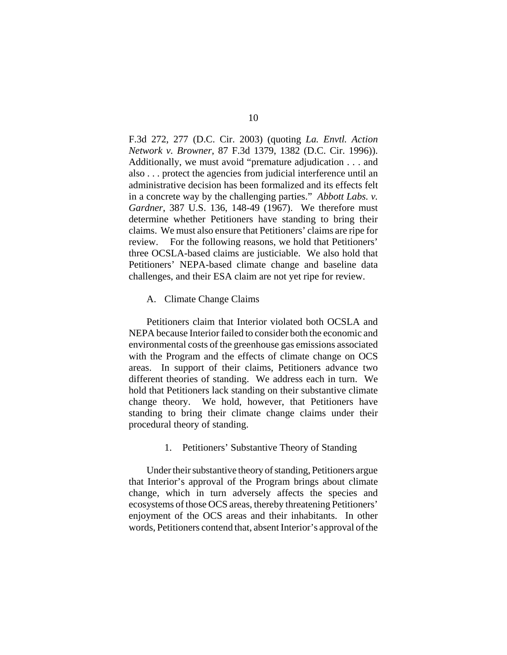F.3d 272, 277 (D.C. Cir. 2003) (quoting *La. Envtl. Action Network v. Browner*, 87 F.3d 1379, 1382 (D.C. Cir. 1996)). Additionally, we must avoid "premature adjudication . . . and also . . . protect the agencies from judicial interference until an administrative decision has been formalized and its effects felt in a concrete way by the challenging parties." *Abbott Labs. v. Gardner*, 387 U.S. 136, 148-49 (1967). We therefore must determine whether Petitioners have standing to bring their claims. We must also ensure that Petitioners' claims are ripe for review. For the following reasons, we hold that Petitioners' three OCSLA-based claims are justiciable. We also hold that Petitioners' NEPA-based climate change and baseline data challenges, and their ESA claim are not yet ripe for review.

#### A. Climate Change Claims

Petitioners claim that Interior violated both OCSLA and NEPA because Interior failed to consider both the economic and environmental costs of the greenhouse gas emissions associated with the Program and the effects of climate change on OCS areas. In support of their claims, Petitioners advance two different theories of standing. We address each in turn. We hold that Petitioners lack standing on their substantive climate change theory. We hold, however, that Petitioners have standing to bring their climate change claims under their procedural theory of standing.

### 1. Petitioners' Substantive Theory of Standing

Under their substantive theory of standing, Petitioners argue that Interior's approval of the Program brings about climate change, which in turn adversely affects the species and ecosystems of those OCS areas, thereby threatening Petitioners' enjoyment of the OCS areas and their inhabitants. In other words, Petitioners contend that, absent Interior's approval of the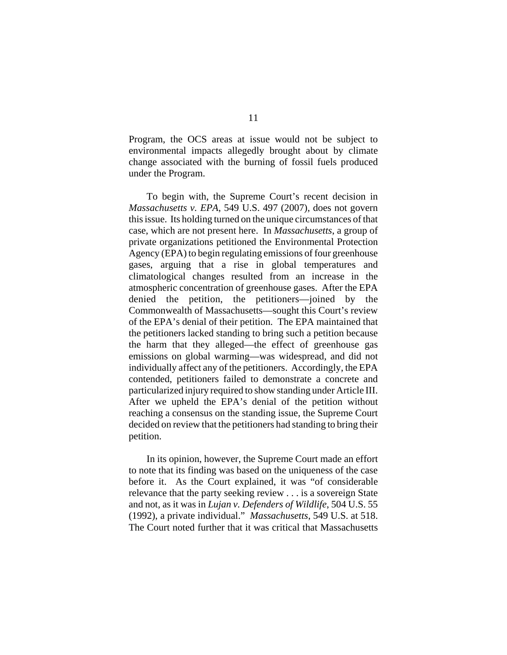Program, the OCS areas at issue would not be subject to environmental impacts allegedly brought about by climate change associated with the burning of fossil fuels produced under the Program.

To begin with, the Supreme Court's recent decision in *Massachusetts v. EPA*, 549 U.S. 497 (2007), does not govern this issue. Its holding turned on the unique circumstances of that case, which are not present here. In *Massachusetts*, a group of private organizations petitioned the Environmental Protection Agency (EPA) to begin regulating emissions of four greenhouse gases, arguing that a rise in global temperatures and climatological changes resulted from an increase in the atmospheric concentration of greenhouse gases. After the EPA denied the petition, the petitioners—joined by the Commonwealth of Massachusetts—sought this Court's review of the EPA's denial of their petition. The EPA maintained that the petitioners lacked standing to bring such a petition because the harm that they alleged—the effect of greenhouse gas emissions on global warming—was widespread, and did not individually affect any of the petitioners. Accordingly, the EPA contended, petitioners failed to demonstrate a concrete and particularized injury required to show standing under Article III. After we upheld the EPA's denial of the petition without reaching a consensus on the standing issue, the Supreme Court decided on review that the petitioners had standing to bring their petition.

In its opinion, however, the Supreme Court made an effort to note that its finding was based on the uniqueness of the case before it. As the Court explained, it was "of considerable relevance that the party seeking review . . . is a sovereign State and not, as it was in *Lujan v. Defenders of Wildlife*, 504 U.S. 55 (1992), a private individual." *Massachusetts*, 549 U.S. at 518. The Court noted further that it was critical that Massachusetts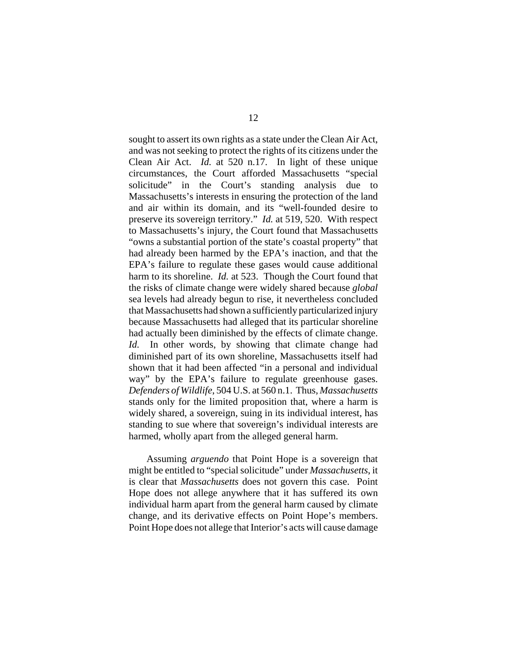sought to assert its own rights as a state under the Clean Air Act, and was not seeking to protect the rights of its citizens under the Clean Air Act. *Id.* at 520 n.17. In light of these unique circumstances, the Court afforded Massachusetts "special solicitude" in the Court's standing analysis due to Massachusetts's interests in ensuring the protection of the land and air within its domain, and its "well-founded desire to preserve its sovereign territory." *Id.* at 519, 520. With respect to Massachusetts's injury, the Court found that Massachusetts "owns a substantial portion of the state's coastal property" that had already been harmed by the EPA's inaction, and that the EPA's failure to regulate these gases would cause additional harm to its shoreline. *Id.* at 523. Though the Court found that the risks of climate change were widely shared because *global* sea levels had already begun to rise, it nevertheless concluded that Massachusetts had shown a sufficiently particularized injury because Massachusetts had alleged that its particular shoreline had actually been diminished by the effects of climate change. *Id.* In other words, by showing that climate change had diminished part of its own shoreline, Massachusetts itself had shown that it had been affected "in a personal and individual way" by the EPA's failure to regulate greenhouse gases. *Defenders of Wildlife*, 504 U.S. at 560 n.1. Thus, *Massachusetts* stands only for the limited proposition that, where a harm is widely shared, a sovereign, suing in its individual interest, has standing to sue where that sovereign's individual interests are harmed, wholly apart from the alleged general harm.

Assuming *arguendo* that Point Hope is a sovereign that might be entitled to "special solicitude" under *Massachusetts*, it is clear that *Massachusetts* does not govern this case. Point Hope does not allege anywhere that it has suffered its own individual harm apart from the general harm caused by climate change, and its derivative effects on Point Hope's members. Point Hope does not allege that Interior's acts will cause damage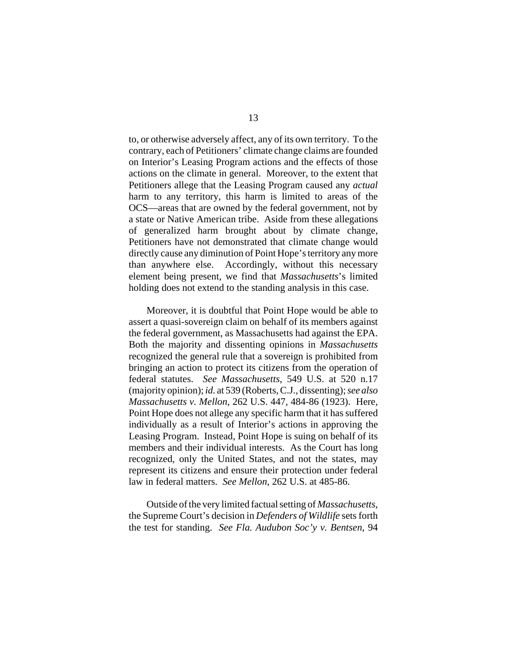to, or otherwise adversely affect, any of its own territory. To the contrary, each of Petitioners' climate change claims are founded on Interior's Leasing Program actions and the effects of those actions on the climate in general. Moreover, to the extent that Petitioners allege that the Leasing Program caused any *actual* harm to any territory, this harm is limited to areas of the OCS—areas that are owned by the federal government, not by a state or Native American tribe. Aside from these allegations of generalized harm brought about by climate change, Petitioners have not demonstrated that climate change would directly cause any diminution of Point Hope's territory any more than anywhere else. Accordingly, without this necessary element being present, we find that *Massachusetts*'s limited holding does not extend to the standing analysis in this case.

Moreover, it is doubtful that Point Hope would be able to assert a quasi-sovereign claim on behalf of its members against the federal government, as Massachusetts had against the EPA. Both the majority and dissenting opinions in *Massachusetts* recognized the general rule that a sovereign is prohibited from bringing an action to protect its citizens from the operation of federal statutes. *See Massachusetts*, 549 U.S. at 520 n.17 (majority opinion); *id.* at 539 (Roberts, C.J., dissenting); *see also Massachusetts v. Mellon*, 262 U.S. 447, 484-86 (1923). Here, Point Hope does not allege any specific harm that it has suffered individually as a result of Interior's actions in approving the Leasing Program. Instead, Point Hope is suing on behalf of its members and their individual interests. As the Court has long recognized, only the United States, and not the states, may represent its citizens and ensure their protection under federal law in federal matters. *See Mellon*, 262 U.S. at 485-86.

Outside of the very limited factual setting of *Massachusetts*, the Supreme Court's decision in *Defenders of Wildlife* sets forth the test for standing. *See Fla. Audubon Soc'y v. Bentsen*, 94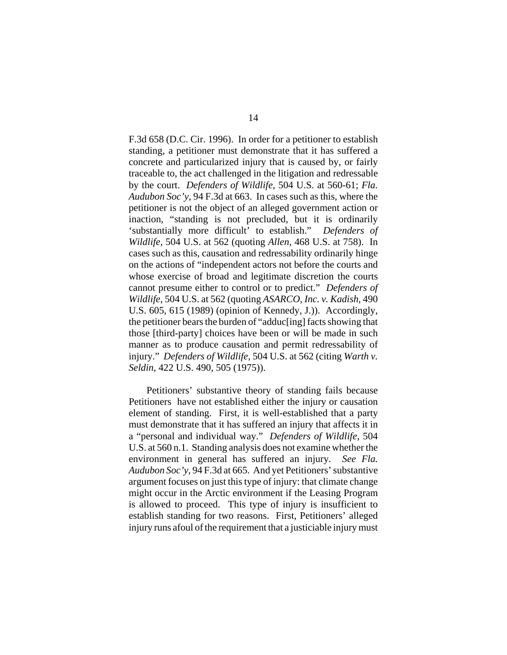F.3d 658 (D.C. Cir. 1996). In order for a petitioner to establish standing, a petitioner must demonstrate that it has suffered a concrete and particularized injury that is caused by, or fairly traceable to, the act challenged in the litigation and redressable by the court. *Defenders of Wildlife*, 504 U.S. at 560-61; *Fla. Audubon Soc'y*, 94 F.3d at 663. In cases such as this, where the petitioner is not the object of an alleged government action or inaction, "standing is not precluded, but it is ordinarily 'substantially more difficult' to establish." *Defenders of Wildlife*, 504 U.S. at 562 (quoting *Allen*, 468 U.S. at 758). In cases such as this, causation and redressability ordinarily hinge on the actions of "independent actors not before the courts and whose exercise of broad and legitimate discretion the courts cannot presume either to control or to predict." *Defenders of Wildlife*, 504 U.S. at 562 (quoting *ASARCO, Inc. v. Kadish*, 490 U.S. 605, 615 (1989) (opinion of Kennedy, J.)). Accordingly, the petitioner bears the burden of "adduc[ing] facts showing that those [third-party] choices have been or will be made in such manner as to produce causation and permit redressability of injury." *Defenders of Wildlife*, 504 U.S. at 562 (citing *Warth v. Seldin*, 422 U.S. 490, 505 (1975)).

Petitioners' substantive theory of standing fails because Petitioners have not established either the injury or causation element of standing. First, it is well-established that a party must demonstrate that it has suffered an injury that affects it in a "personal and individual way." *Defenders of Wildlife*, 504 U.S. at 560 n.1. Standing analysis does not examine whether the environment in general has suffered an injury. *See Fla. Audubon Soc'y*, 94 F.3d at 665. And yet Petitioners' substantive argument focuses on just this type of injury: that climate change might occur in the Arctic environment if the Leasing Program is allowed to proceed. This type of injury is insufficient to establish standing for two reasons. First, Petitioners' alleged injury runs afoul of the requirement that a justiciable injury must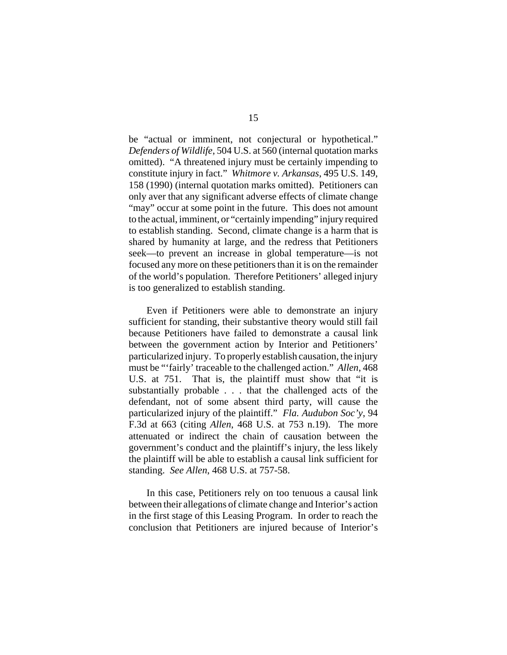be "actual or imminent, not conjectural or hypothetical." *Defenders of Wildlife*, 504 U.S. at 560 (internal quotation marks omitted). "A threatened injury must be certainly impending to constitute injury in fact." *Whitmore v. Arkansas*, 495 U.S. 149, 158 (1990) (internal quotation marks omitted). Petitioners can only aver that any significant adverse effects of climate change "may" occur at some point in the future. This does not amount to the actual, imminent, or "certainly impending" injury required to establish standing. Second, climate change is a harm that is shared by humanity at large, and the redress that Petitioners seek—to prevent an increase in global temperature—is not focused any more on these petitioners than it is on the remainder of the world's population. Therefore Petitioners' alleged injury is too generalized to establish standing.

Even if Petitioners were able to demonstrate an injury sufficient for standing, their substantive theory would still fail because Petitioners have failed to demonstrate a causal link between the government action by Interior and Petitioners' particularized injury. To properly establish causation, the injury must be "'fairly' traceable to the challenged action." *Allen*, 468 U.S. at 751. That is, the plaintiff must show that "it is substantially probable . . . that the challenged acts of the defendant, not of some absent third party, will cause the particularized injury of the plaintiff." *Fla. Audubon Soc'y*, 94 F.3d at 663 (citing *Allen*, 468 U.S. at 753 n.19). The more attenuated or indirect the chain of causation between the government's conduct and the plaintiff's injury, the less likely the plaintiff will be able to establish a causal link sufficient for standing. *See Allen*, 468 U.S. at 757-58.

In this case, Petitioners rely on too tenuous a causal link between their allegations of climate change and Interior's action in the first stage of this Leasing Program. In order to reach the conclusion that Petitioners are injured because of Interior's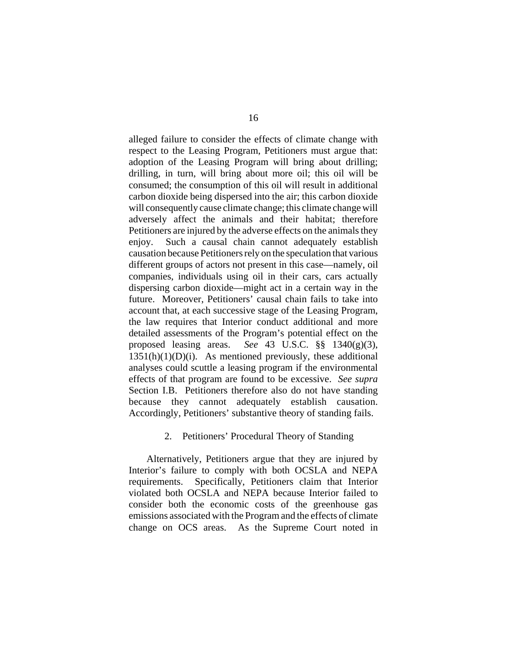alleged failure to consider the effects of climate change with respect to the Leasing Program, Petitioners must argue that: adoption of the Leasing Program will bring about drilling; drilling, in turn, will bring about more oil; this oil will be consumed; the consumption of this oil will result in additional carbon dioxide being dispersed into the air; this carbon dioxide will consequently cause climate change; this climate change will adversely affect the animals and their habitat; therefore Petitioners are injured by the adverse effects on the animals they enjoy. Such a causal chain cannot adequately establish causation because Petitioners rely on the speculation that various different groups of actors not present in this case—namely, oil companies, individuals using oil in their cars, cars actually dispersing carbon dioxide—might act in a certain way in the future. Moreover, Petitioners' causal chain fails to take into account that, at each successive stage of the Leasing Program, the law requires that Interior conduct additional and more detailed assessments of the Program's potential effect on the proposed leasing areas. *See* 43 U.S.C. §§ 1340(g)(3),  $1351(h)(1)(D)(i)$ . As mentioned previously, these additional analyses could scuttle a leasing program if the environmental effects of that program are found to be excessive. *See supra* Section I.B. Petitioners therefore also do not have standing because they cannot adequately establish causation. Accordingly, Petitioners' substantive theory of standing fails.

### 2. Petitioners' Procedural Theory of Standing

Alternatively, Petitioners argue that they are injured by Interior's failure to comply with both OCSLA and NEPA requirements. Specifically, Petitioners claim that Interior violated both OCSLA and NEPA because Interior failed to consider both the economic costs of the greenhouse gas emissions associated with the Program and the effects of climate change on OCS areas. As the Supreme Court noted in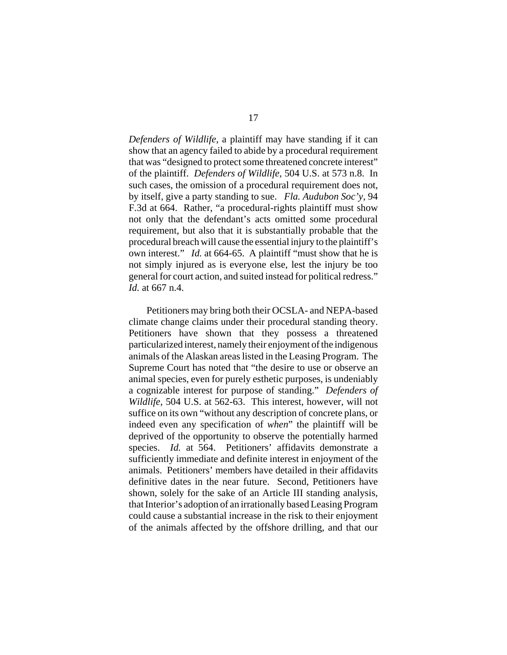*Defenders of Wildlife*, a plaintiff may have standing if it can show that an agency failed to abide by a procedural requirement that was "designed to protect some threatened concrete interest" of the plaintiff. *Defenders of Wildlife*, 504 U.S. at 573 n.8. In such cases, the omission of a procedural requirement does not, by itself, give a party standing to sue. *Fla. Audubon Soc'y*, 94 F.3d at 664. Rather, "a procedural-rights plaintiff must show not only that the defendant's acts omitted some procedural requirement, but also that it is substantially probable that the procedural breach will cause the essential injury to the plaintiff's own interest." *Id.* at 664-65. A plaintiff "must show that he is not simply injured as is everyone else, lest the injury be too general for court action, and suited instead for political redress." *Id.* at 667 n.4.

Petitioners may bring both their OCSLA- and NEPA-based climate change claims under their procedural standing theory. Petitioners have shown that they possess a threatened particularized interest, namely their enjoyment of the indigenous animals of the Alaskan areas listed in the Leasing Program. The Supreme Court has noted that "the desire to use or observe an animal species, even for purely esthetic purposes, is undeniably a cognizable interest for purpose of standing." *Defenders of Wildlife*, 504 U.S. at 562-63. This interest, however, will not suffice on its own "without any description of concrete plans, or indeed even any specification of *when*" the plaintiff will be deprived of the opportunity to observe the potentially harmed species. *Id.* at 564. Petitioners' affidavits demonstrate a sufficiently immediate and definite interest in enjoyment of the animals. Petitioners' members have detailed in their affidavits definitive dates in the near future. Second, Petitioners have shown, solely for the sake of an Article III standing analysis, that Interior's adoption of an irrationally based Leasing Program could cause a substantial increase in the risk to their enjoyment of the animals affected by the offshore drilling, and that our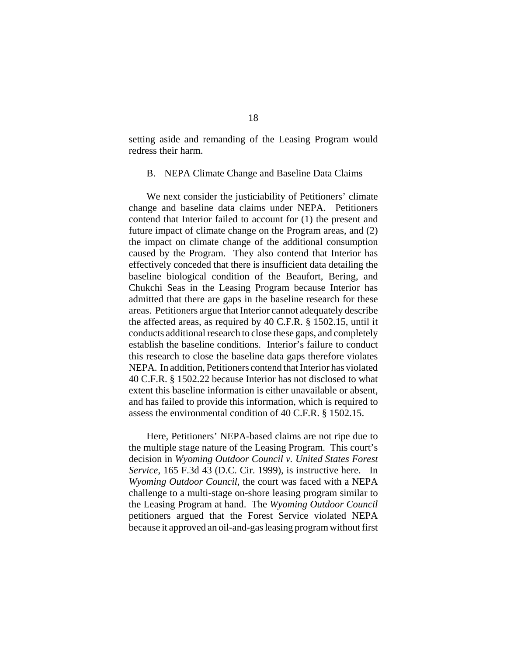setting aside and remanding of the Leasing Program would redress their harm.

#### B. NEPA Climate Change and Baseline Data Claims

We next consider the justiciability of Petitioners' climate change and baseline data claims under NEPA. Petitioners contend that Interior failed to account for (1) the present and future impact of climate change on the Program areas, and (2) the impact on climate change of the additional consumption caused by the Program. They also contend that Interior has effectively conceded that there is insufficient data detailing the baseline biological condition of the Beaufort, Bering, and Chukchi Seas in the Leasing Program because Interior has admitted that there are gaps in the baseline research for these areas. Petitioners argue that Interior cannot adequately describe the affected areas, as required by 40 C.F.R. § 1502.15, until it conducts additional research to close these gaps, and completely establish the baseline conditions. Interior's failure to conduct this research to close the baseline data gaps therefore violates NEPA. In addition, Petitioners contend that Interior has violated 40 C.F.R. § 1502.22 because Interior has not disclosed to what extent this baseline information is either unavailable or absent, and has failed to provide this information, which is required to assess the environmental condition of 40 C.F.R. § 1502.15.

Here, Petitioners' NEPA-based claims are not ripe due to the multiple stage nature of the Leasing Program. This court's decision in *Wyoming Outdoor Council v. United States Forest Service*, 165 F.3d 43 (D.C. Cir. 1999), is instructive here. In *Wyoming Outdoor Council*, the court was faced with a NEPA challenge to a multi-stage on-shore leasing program similar to the Leasing Program at hand. The *Wyoming Outdoor Council* petitioners argued that the Forest Service violated NEPA because it approved an oil-and-gas leasing program without first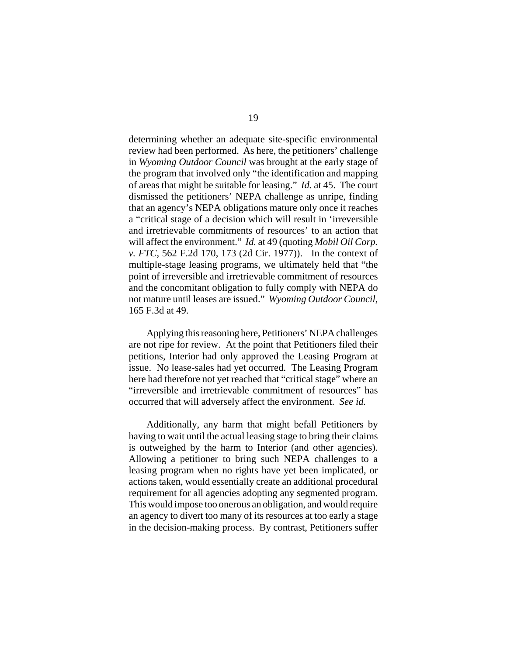determining whether an adequate site-specific environmental review had been performed. As here, the petitioners' challenge in *Wyoming Outdoor Council* was brought at the early stage of the program that involved only "the identification and mapping of areas that might be suitable for leasing." *Id.* at 45. The court dismissed the petitioners' NEPA challenge as unripe, finding that an agency's NEPA obligations mature only once it reaches a "critical stage of a decision which will result in 'irreversible and irretrievable commitments of resources' to an action that will affect the environment." *Id.* at 49 (quoting *Mobil Oil Corp. v. FTC*, 562 F.2d 170, 173 (2d Cir. 1977)). In the context of multiple-stage leasing programs, we ultimately held that "the point of irreversible and irretrievable commitment of resources and the concomitant obligation to fully comply with NEPA do not mature until leases are issued." *Wyoming Outdoor Council*, 165 F.3d at 49.

Applying this reasoning here, Petitioners' NEPA challenges are not ripe for review. At the point that Petitioners filed their petitions, Interior had only approved the Leasing Program at issue. No lease-sales had yet occurred. The Leasing Program here had therefore not yet reached that "critical stage" where an "irreversible and irretrievable commitment of resources" has occurred that will adversely affect the environment. *See id.*

Additionally, any harm that might befall Petitioners by having to wait until the actual leasing stage to bring their claims is outweighed by the harm to Interior (and other agencies). Allowing a petitioner to bring such NEPA challenges to a leasing program when no rights have yet been implicated, or actions taken, would essentially create an additional procedural requirement for all agencies adopting any segmented program. This would impose too onerous an obligation, and would require an agency to divert too many of its resources at too early a stage in the decision-making process. By contrast, Petitioners suffer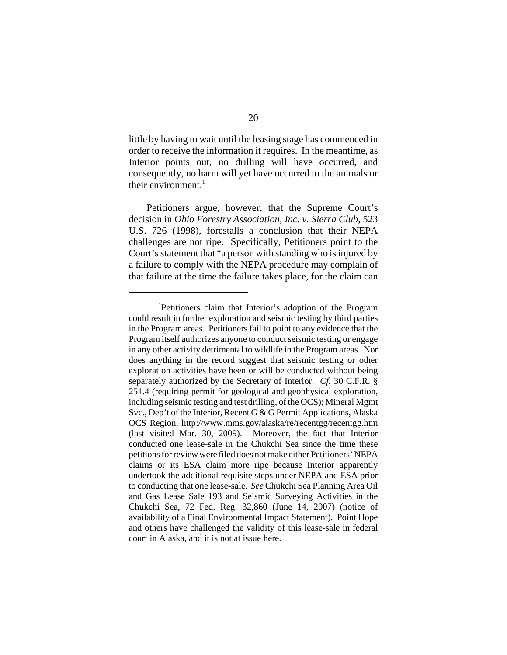little by having to wait until the leasing stage has commenced in order to receive the information it requires. In the meantime, as Interior points out, no drilling will have occurred, and consequently, no harm will yet have occurred to the animals or their environment. $<sup>1</sup>$ </sup>

Petitioners argue, however, that the Supreme Court's decision in *Ohio Forestry Association, Inc. v. Sierra Club*, 523 U.S. 726 (1998), forestalls a conclusion that their NEPA challenges are not ripe. Specifically, Petitioners point to the Court's statement that "a person with standing who is injured by a failure to comply with the NEPA procedure may complain of that failure at the time the failure takes place, for the claim can

<sup>1</sup> Petitioners claim that Interior's adoption of the Program could result in further exploration and seismic testing by third parties in the Program areas. Petitioners fail to point to any evidence that the Program itself authorizes anyone to conduct seismic testing or engage in any other activity detrimental to wildlife in the Program areas. Nor does anything in the record suggest that seismic testing or other exploration activities have been or will be conducted without being separately authorized by the Secretary of Interior. *Cf.* 30 C.F.R. § 251.4 (requiring permit for geological and geophysical exploration, including seismic testing and test drilling, of the OCS); Mineral Mgmt Svc., Dep't of the Interior, Recent G & G Permit Applications, Alaska OCS Region, http://www.mms.gov/alaska/re/recentgg/recentgg.htm (last visited Mar. 30, 2009). Moreover, the fact that Interior conducted one lease-sale in the Chukchi Sea since the time these petitions for review were filed does not make either Petitioners' NEPA claims or its ESA claim more ripe because Interior apparently undertook the additional requisite steps under NEPA and ESA prior to conducting that one lease-sale. *See* Chukchi Sea Planning Area Oil and Gas Lease Sale 193 and Seismic Surveying Activities in the Chukchi Sea, 72 Fed. Reg. 32,860 (June 14, 2007) (notice of availability of a Final Environmental Impact Statement). Point Hope and others have challenged the validity of this lease-sale in federal court in Alaska, and it is not at issue here.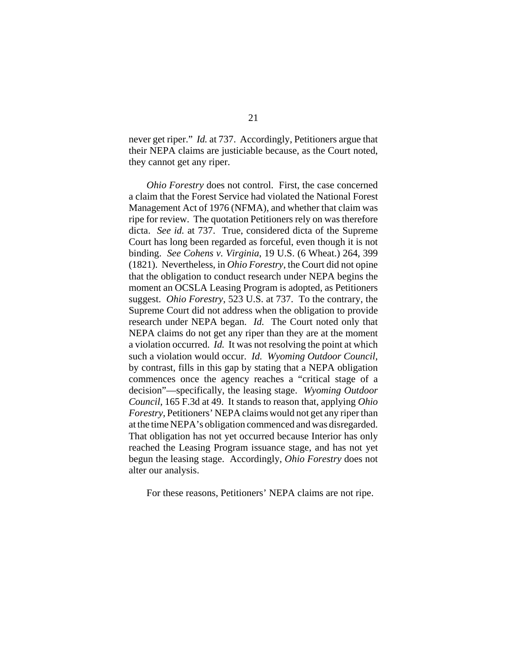never get riper." *Id.* at 737. Accordingly, Petitioners argue that their NEPA claims are justiciable because, as the Court noted, they cannot get any riper.

*Ohio Forestry* does not control. First, the case concerned a claim that the Forest Service had violated the National Forest Management Act of 1976 (NFMA), and whether that claim was ripe for review. The quotation Petitioners rely on was therefore dicta. *See id.* at 737. True, considered dicta of the Supreme Court has long been regarded as forceful, even though it is not binding. *See Cohens v. Virginia*, 19 U.S. (6 Wheat.) 264, 399 (1821). Nevertheless, in *Ohio Forestry*, the Court did not opine that the obligation to conduct research under NEPA begins the moment an OCSLA Leasing Program is adopted, as Petitioners suggest. *Ohio Forestry*, 523 U.S. at 737. To the contrary, the Supreme Court did not address when the obligation to provide research under NEPA began. *Id.* The Court noted only that NEPA claims do not get any riper than they are at the moment a violation occurred. *Id.* It was not resolving the point at which such a violation would occur. *Id. Wyoming Outdoor Council*, by contrast, fills in this gap by stating that a NEPA obligation commences once the agency reaches a "critical stage of a decision"—specifically, the leasing stage. *Wyoming Outdoor Council*, 165 F.3d at 49. It stands to reason that, applying *Ohio Forestry*, Petitioners' NEPA claims would not get any riper than at the time NEPA's obligation commenced and was disregarded. That obligation has not yet occurred because Interior has only reached the Leasing Program issuance stage, and has not yet begun the leasing stage. Accordingly, *Ohio Forestry* does not alter our analysis.

For these reasons, Petitioners' NEPA claims are not ripe.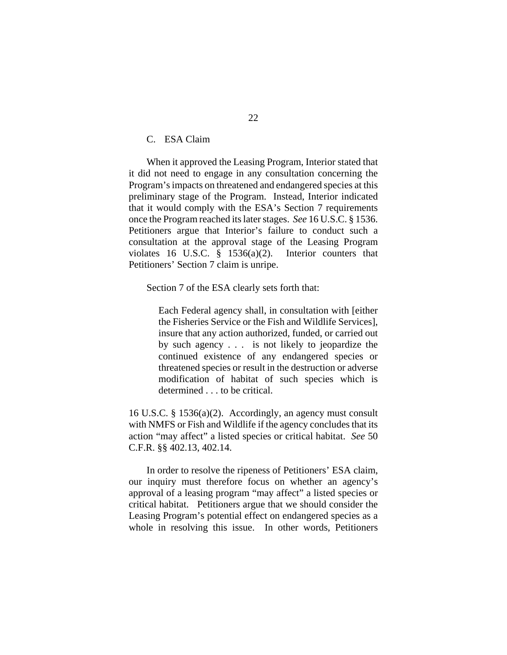#### C. ESA Claim

When it approved the Leasing Program, Interior stated that it did not need to engage in any consultation concerning the Program's impacts on threatened and endangered species at this preliminary stage of the Program. Instead, Interior indicated that it would comply with the ESA's Section 7 requirements once the Program reached its later stages. *See* 16 U.S.C. § 1536. Petitioners argue that Interior's failure to conduct such a consultation at the approval stage of the Leasing Program violates 16 U.S.C. § 1536(a)(2). Interior counters that Petitioners' Section 7 claim is unripe.

Section 7 of the ESA clearly sets forth that:

Each Federal agency shall, in consultation with [either the Fisheries Service or the Fish and Wildlife Services], insure that any action authorized, funded, or carried out by such agency . . . is not likely to jeopardize the continued existence of any endangered species or threatened species or result in the destruction or adverse modification of habitat of such species which is determined . . . to be critical.

16 U.S.C. § 1536(a)(2). Accordingly, an agency must consult with NMFS or Fish and Wildlife if the agency concludes that its action "may affect" a listed species or critical habitat. *See* 50 C.F.R. §§ 402.13, 402.14.

In order to resolve the ripeness of Petitioners' ESA claim, our inquiry must therefore focus on whether an agency's approval of a leasing program "may affect" a listed species or critical habitat. Petitioners argue that we should consider the Leasing Program's potential effect on endangered species as a whole in resolving this issue. In other words, Petitioners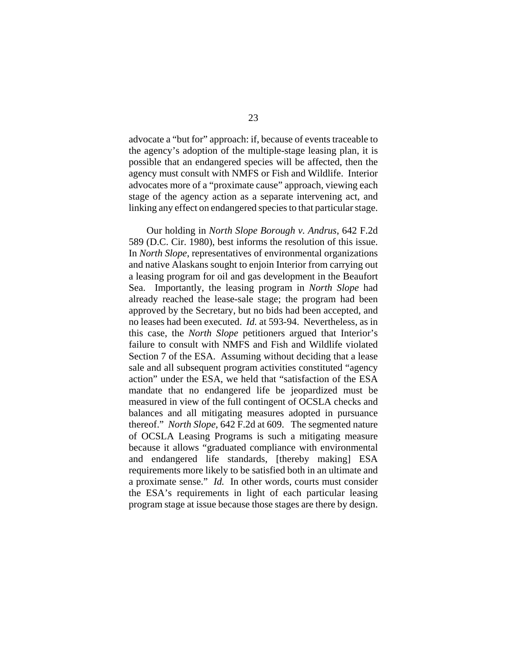advocate a "but for" approach: if, because of events traceable to the agency's adoption of the multiple-stage leasing plan, it is possible that an endangered species will be affected, then the agency must consult with NMFS or Fish and Wildlife. Interior advocates more of a "proximate cause" approach, viewing each stage of the agency action as a separate intervening act, and linking any effect on endangered species to that particular stage.

Our holding in *North Slope Borough v. Andrus*, 642 F.2d 589 (D.C. Cir. 1980), best informs the resolution of this issue. In *North Slope*, representatives of environmental organizations and native Alaskans sought to enjoin Interior from carrying out a leasing program for oil and gas development in the Beaufort Sea. Importantly, the leasing program in *North Slope* had already reached the lease-sale stage; the program had been approved by the Secretary, but no bids had been accepted, and no leases had been executed. *Id.* at 593-94. Nevertheless, as in this case, the *North Slope* petitioners argued that Interior's failure to consult with NMFS and Fish and Wildlife violated Section 7 of the ESA. Assuming without deciding that a lease sale and all subsequent program activities constituted "agency action" under the ESA, we held that "satisfaction of the ESA mandate that no endangered life be jeopardized must be measured in view of the full contingent of OCSLA checks and balances and all mitigating measures adopted in pursuance thereof." *North Slope*, 642 F.2d at 609. The segmented nature of OCSLA Leasing Programs is such a mitigating measure because it allows "graduated compliance with environmental and endangered life standards, [thereby making] ESA requirements more likely to be satisfied both in an ultimate and a proximate sense." *Id.* In other words, courts must consider the ESA's requirements in light of each particular leasing program stage at issue because those stages are there by design.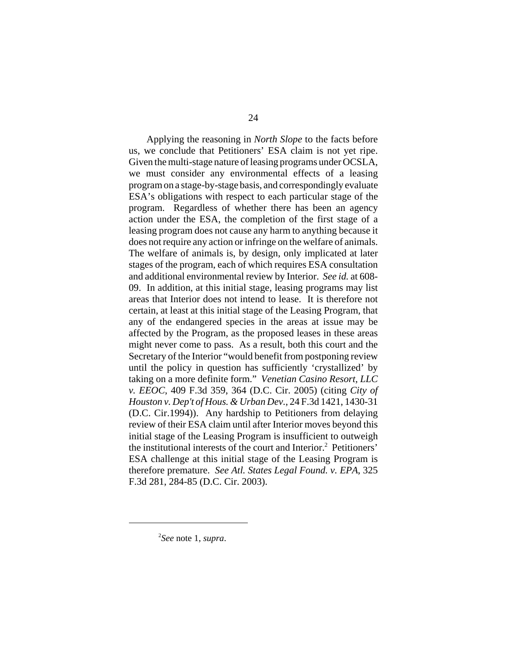Applying the reasoning in *North Slope* to the facts before us, we conclude that Petitioners' ESA claim is not yet ripe. Given the multi-stage nature of leasing programs under OCSLA, we must consider any environmental effects of a leasing program on a stage-by-stage basis, and correspondingly evaluate ESA's obligations with respect to each particular stage of the program. Regardless of whether there has been an agency action under the ESA, the completion of the first stage of a leasing program does not cause any harm to anything because it does not require any action or infringe on the welfare of animals. The welfare of animals is, by design, only implicated at later stages of the program, each of which requires ESA consultation and additional environmental review by Interior. *See id.* at 608- 09. In addition, at this initial stage, leasing programs may list areas that Interior does not intend to lease. It is therefore not certain, at least at this initial stage of the Leasing Program, that any of the endangered species in the areas at issue may be affected by the Program, as the proposed leases in these areas might never come to pass. As a result, both this court and the Secretary of the Interior "would benefit from postponing review until the policy in question has sufficiently 'crystallized' by taking on a more definite form." *Venetian Casino Resort, LLC v. EEOC*, 409 F.3d 359, 364 (D.C. Cir. 2005) (citing *City of Houston v. Dep't of Hous. & Urban Dev.*, 24 F.3d 1421, 1430-31 (D.C. Cir.1994)). Any hardship to Petitioners from delaying review of their ESA claim until after Interior moves beyond this initial stage of the Leasing Program is insufficient to outweigh the institutional interests of the court and Interior.<sup>2</sup> Petitioners' ESA challenge at this initial stage of the Leasing Program is therefore premature. *See Atl. States Legal Found. v. EPA*, 325 F.3d 281, 284-85 (D.C. Cir. 2003).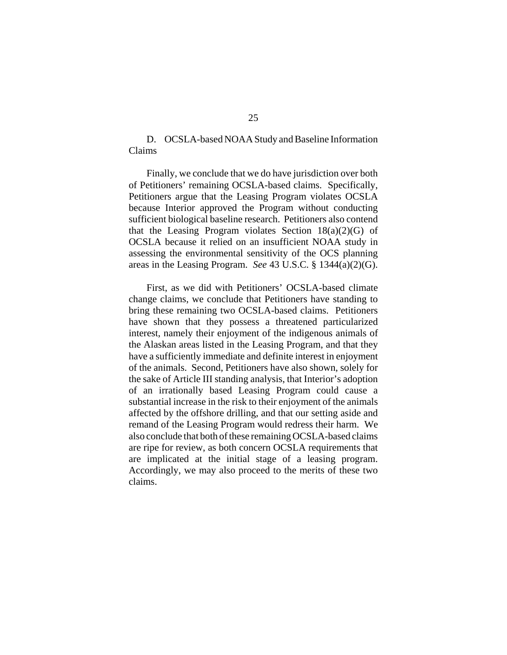D. OCSLA-based NOAA Study and Baseline Information Claims

Finally, we conclude that we do have jurisdiction over both of Petitioners' remaining OCSLA-based claims. Specifically, Petitioners argue that the Leasing Program violates OCSLA because Interior approved the Program without conducting sufficient biological baseline research. Petitioners also contend that the Leasing Program violates Section  $18(a)(2)(G)$  of OCSLA because it relied on an insufficient NOAA study in assessing the environmental sensitivity of the OCS planning areas in the Leasing Program. *See* 43 U.S.C. § 1344(a)(2)(G).

First, as we did with Petitioners' OCSLA-based climate change claims, we conclude that Petitioners have standing to bring these remaining two OCSLA-based claims. Petitioners have shown that they possess a threatened particularized interest, namely their enjoyment of the indigenous animals of the Alaskan areas listed in the Leasing Program, and that they have a sufficiently immediate and definite interest in enjoyment of the animals. Second, Petitioners have also shown, solely for the sake of Article III standing analysis, that Interior's adoption of an irrationally based Leasing Program could cause a substantial increase in the risk to their enjoyment of the animals affected by the offshore drilling, and that our setting aside and remand of the Leasing Program would redress their harm. We also conclude that both of these remaining OCSLA-based claims are ripe for review, as both concern OCSLA requirements that are implicated at the initial stage of a leasing program. Accordingly, we may also proceed to the merits of these two claims.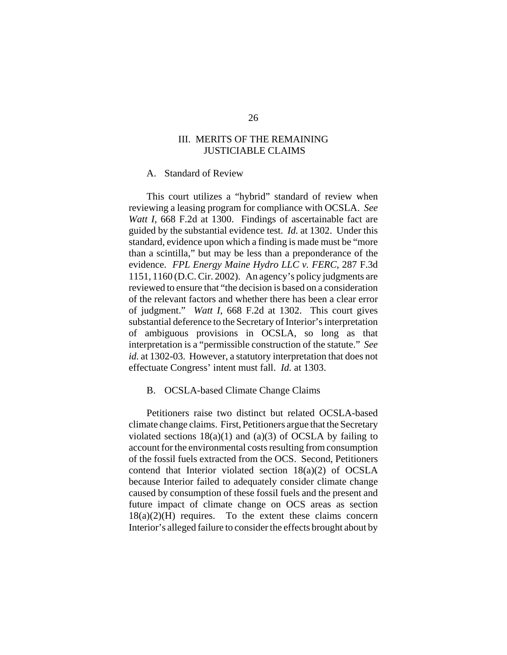## III. MERITS OF THE REMAINING JUSTICIABLE CLAIMS

#### A. Standard of Review

This court utilizes a "hybrid" standard of review when reviewing a leasing program for compliance with OCSLA. *See Watt I*, 668 F.2d at 1300. Findings of ascertainable fact are guided by the substantial evidence test. *Id.* at 1302. Under this standard, evidence upon which a finding is made must be "more than a scintilla," but may be less than a preponderance of the evidence. *FPL Energy Maine Hydro LLC v. FERC*, 287 F.3d 1151, 1160 (D.C. Cir. 2002). An agency's policy judgments are reviewed to ensure that "the decision is based on a consideration of the relevant factors and whether there has been a clear error of judgment." *Watt I*, 668 F.2d at 1302. This court gives substantial deference to the Secretary of Interior's interpretation of ambiguous provisions in OCSLA, so long as that interpretation is a "permissible construction of the statute." *See id.* at 1302-03. However, a statutory interpretation that does not effectuate Congress' intent must fall. *Id.* at 1303.

## B. OCSLA-based Climate Change Claims

Petitioners raise two distinct but related OCSLA-based climate change claims. First, Petitioners argue that the Secretary violated sections  $18(a)(1)$  and  $(a)(3)$  of OCSLA by failing to account for the environmental costs resulting from consumption of the fossil fuels extracted from the OCS. Second, Petitioners contend that Interior violated section 18(a)(2) of OCSLA because Interior failed to adequately consider climate change caused by consumption of these fossil fuels and the present and future impact of climate change on OCS areas as section  $18(a)(2)(H)$  requires. To the extent these claims concern Interior's alleged failure to consider the effects brought about by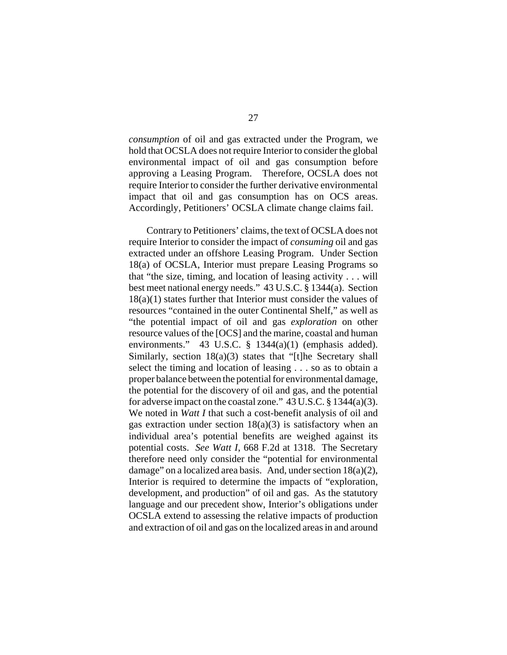*consumption* of oil and gas extracted under the Program, we hold that OCSLA does not require Interior to consider the global environmental impact of oil and gas consumption before approving a Leasing Program. Therefore, OCSLA does not require Interior to consider the further derivative environmental impact that oil and gas consumption has on OCS areas. Accordingly, Petitioners' OCSLA climate change claims fail.

Contrary to Petitioners' claims, the text of OCSLA does not require Interior to consider the impact of *consuming* oil and gas extracted under an offshore Leasing Program. Under Section 18(a) of OCSLA, Interior must prepare Leasing Programs so that "the size, timing, and location of leasing activity . . . will best meet national energy needs." 43 U.S.C. § 1344(a). Section 18(a)(1) states further that Interior must consider the values of resources "contained in the outer Continental Shelf," as well as "the potential impact of oil and gas *exploration* on other resource values of the [OCS] and the marine, coastal and human environments." 43 U.S.C. § 1344(a)(1) (emphasis added). Similarly, section 18(a)(3) states that "[t]he Secretary shall select the timing and location of leasing . . . so as to obtain a proper balance between the potential for environmental damage, the potential for the discovery of oil and gas, and the potential for adverse impact on the coastal zone." 43 U.S.C. § 1344(a)(3). We noted in *Watt I* that such a cost-benefit analysis of oil and gas extraction under section  $18(a)(3)$  is satisfactory when an individual area's potential benefits are weighed against its potential costs. *See Watt I*, 668 F.2d at 1318. The Secretary therefore need only consider the "potential for environmental damage" on a localized area basis. And, under section 18(a)(2), Interior is required to determine the impacts of "exploration, development, and production" of oil and gas. As the statutory language and our precedent show, Interior's obligations under OCSLA extend to assessing the relative impacts of production and extraction of oil and gas on the localized areas in and around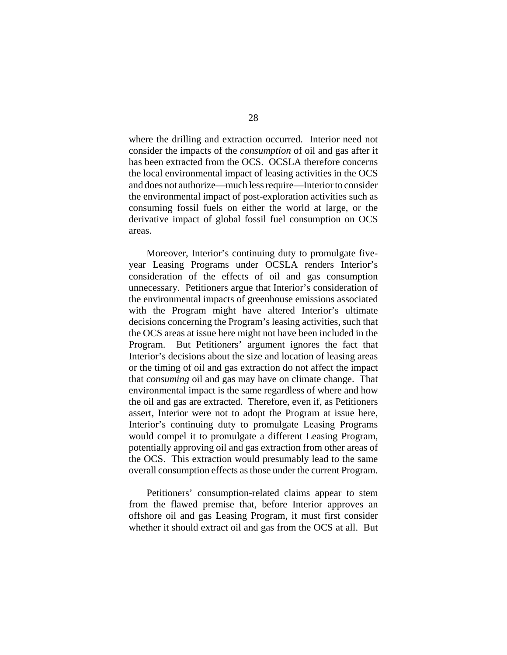where the drilling and extraction occurred. Interior need not consider the impacts of the *consumption* of oil and gas after it has been extracted from the OCS. OCSLA therefore concerns the local environmental impact of leasing activities in the OCS and does not authorize—much less require—Interior to consider the environmental impact of post-exploration activities such as consuming fossil fuels on either the world at large, or the derivative impact of global fossil fuel consumption on OCS areas.

Moreover, Interior's continuing duty to promulgate fiveyear Leasing Programs under OCSLA renders Interior's consideration of the effects of oil and gas consumption unnecessary. Petitioners argue that Interior's consideration of the environmental impacts of greenhouse emissions associated with the Program might have altered Interior's ultimate decisions concerning the Program's leasing activities, such that the OCS areas at issue here might not have been included in the Program. But Petitioners' argument ignores the fact that Interior's decisions about the size and location of leasing areas or the timing of oil and gas extraction do not affect the impact that *consuming* oil and gas may have on climate change. That environmental impact is the same regardless of where and how the oil and gas are extracted. Therefore, even if, as Petitioners assert, Interior were not to adopt the Program at issue here, Interior's continuing duty to promulgate Leasing Programs would compel it to promulgate a different Leasing Program, potentially approving oil and gas extraction from other areas of the OCS. This extraction would presumably lead to the same overall consumption effects as those under the current Program.

Petitioners' consumption-related claims appear to stem from the flawed premise that, before Interior approves an offshore oil and gas Leasing Program, it must first consider whether it should extract oil and gas from the OCS at all. But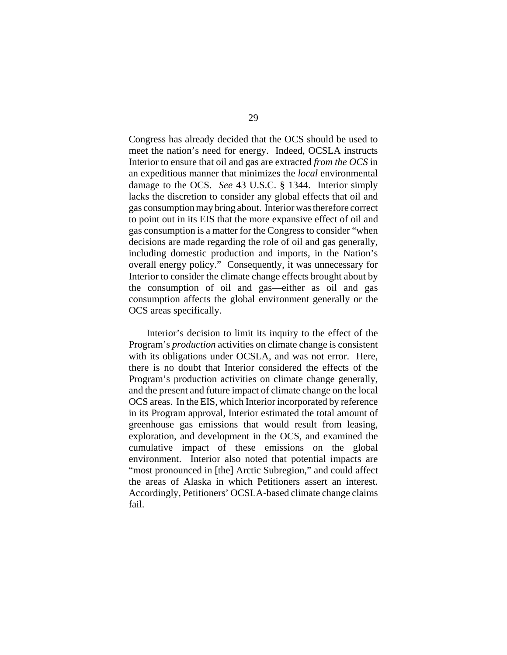Congress has already decided that the OCS should be used to meet the nation's need for energy. Indeed, OCSLA instructs Interior to ensure that oil and gas are extracted *from the OCS* in an expeditious manner that minimizes the *local* environmental damage to the OCS. *See* 43 U.S.C. § 1344. Interior simply lacks the discretion to consider any global effects that oil and gas consumption may bring about. Interior was therefore correct to point out in its EIS that the more expansive effect of oil and gas consumption is a matter for the Congress to consider "when decisions are made regarding the role of oil and gas generally, including domestic production and imports, in the Nation's overall energy policy." Consequently, it was unnecessary for Interior to consider the climate change effects brought about by the consumption of oil and gas—either as oil and gas consumption affects the global environment generally or the OCS areas specifically.

Interior's decision to limit its inquiry to the effect of the Program's *production* activities on climate change is consistent with its obligations under OCSLA, and was not error. Here, there is no doubt that Interior considered the effects of the Program's production activities on climate change generally, and the present and future impact of climate change on the local OCS areas. In the EIS, which Interior incorporated by reference in its Program approval, Interior estimated the total amount of greenhouse gas emissions that would result from leasing, exploration, and development in the OCS, and examined the cumulative impact of these emissions on the global environment. Interior also noted that potential impacts are "most pronounced in [the] Arctic Subregion," and could affect the areas of Alaska in which Petitioners assert an interest. Accordingly, Petitioners' OCSLA-based climate change claims fail.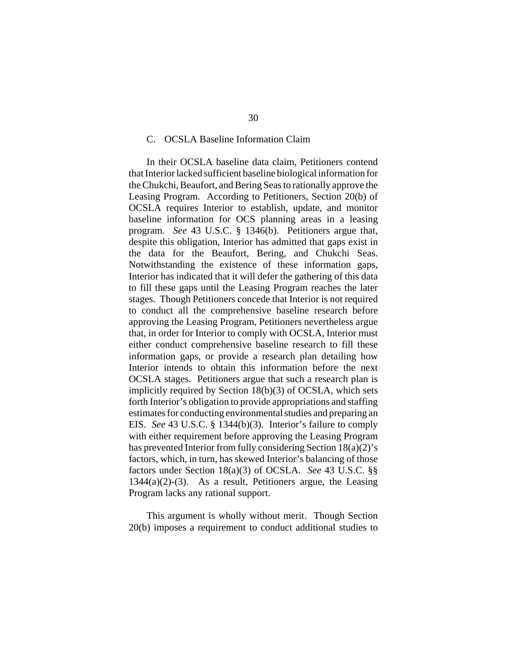#### C. OCSLA Baseline Information Claim

In their OCSLA baseline data claim, Petitioners contend that Interior lacked sufficient baseline biological information for the Chukchi, Beaufort, and Bering Seas to rationally approve the Leasing Program. According to Petitioners, Section 20(b) of OCSLA requires Interior to establish, update, and monitor baseline information for OCS planning areas in a leasing program. *See* 43 U.S.C. § 1346(b). Petitioners argue that, despite this obligation, Interior has admitted that gaps exist in the data for the Beaufort, Bering, and Chukchi Seas. Notwithstanding the existence of these information gaps, Interior has indicated that it will defer the gathering of this data to fill these gaps until the Leasing Program reaches the later stages. Though Petitioners concede that Interior is not required to conduct all the comprehensive baseline research before approving the Leasing Program, Petitioners nevertheless argue that, in order for Interior to comply with OCSLA, Interior must either conduct comprehensive baseline research to fill these information gaps, or provide a research plan detailing how Interior intends to obtain this information before the next OCSLA stages. Petitioners argue that such a research plan is implicitly required by Section 18(b)(3) of OCSLA, which sets forth Interior's obligation to provide appropriations and staffing estimates for conducting environmental studies and preparing an EIS. *See* 43 U.S.C. § 1344(b)(3). Interior's failure to comply with either requirement before approving the Leasing Program has prevented Interior from fully considering Section 18(a)(2)'s factors, which, in turn, has skewed Interior's balancing of those factors under Section 18(a)(3) of OCSLA. *See* 43 U.S.C. §§  $1344(a)(2)-(3)$ . As a result, Petitioners argue, the Leasing Program lacks any rational support.

This argument is wholly without merit. Though Section 20(b) imposes a requirement to conduct additional studies to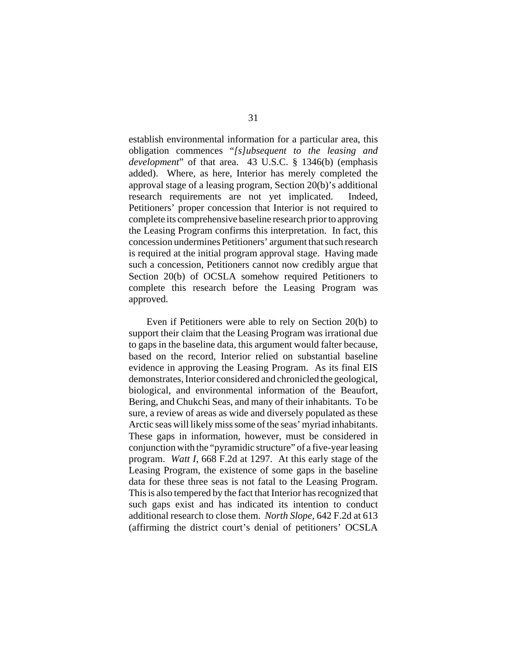establish environmental information for a particular area, this obligation commences "*[s]ubsequent to the leasing and development*" of that area. 43 U.S.C. § 1346(b) (emphasis added). Where, as here, Interior has merely completed the approval stage of a leasing program, Section 20(b)'s additional research requirements are not yet implicated. Indeed, Petitioners' proper concession that Interior is not required to complete its comprehensive baseline research prior to approving the Leasing Program confirms this interpretation. In fact, this concession undermines Petitioners' argument that such research is required at the initial program approval stage. Having made such a concession, Petitioners cannot now credibly argue that Section 20(b) of OCSLA somehow required Petitioners to complete this research before the Leasing Program was approved.

Even if Petitioners were able to rely on Section 20(b) to support their claim that the Leasing Program was irrational due to gaps in the baseline data, this argument would falter because, based on the record, Interior relied on substantial baseline evidence in approving the Leasing Program. As its final EIS demonstrates, Interior considered and chronicled the geological, biological, and environmental information of the Beaufort, Bering, and Chukchi Seas, and many of their inhabitants. To be sure, a review of areas as wide and diversely populated as these Arctic seas will likely miss some of the seas' myriad inhabitants. These gaps in information, however, must be considered in conjunction with the "pyramidic structure" of a five-year leasing program. *Watt I*, 668 F.2d at 1297. At this early stage of the Leasing Program, the existence of some gaps in the baseline data for these three seas is not fatal to the Leasing Program. This is also tempered by the fact that Interior has recognized that such gaps exist and has indicated its intention to conduct additional research to close them. *North Slope*, 642 F.2d at 613 (affirming the district court's denial of petitioners' OCSLA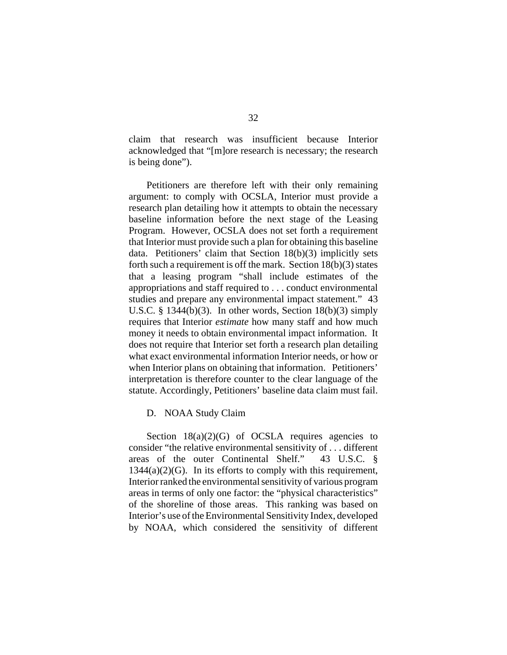claim that research was insufficient because Interior acknowledged that "[m]ore research is necessary; the research is being done").

Petitioners are therefore left with their only remaining argument: to comply with OCSLA, Interior must provide a research plan detailing how it attempts to obtain the necessary baseline information before the next stage of the Leasing Program. However, OCSLA does not set forth a requirement that Interior must provide such a plan for obtaining this baseline data. Petitioners' claim that Section 18(b)(3) implicitly sets forth such a requirement is off the mark. Section 18(b)(3) states that a leasing program "shall include estimates of the appropriations and staff required to . . . conduct environmental studies and prepare any environmental impact statement." 43 U.S.C.  $\S$  1344(b)(3). In other words, Section 18(b)(3) simply requires that Interior *estimate* how many staff and how much money it needs to obtain environmental impact information. It does not require that Interior set forth a research plan detailing what exact environmental information Interior needs, or how or when Interior plans on obtaining that information. Petitioners' interpretation is therefore counter to the clear language of the statute. Accordingly, Petitioners' baseline data claim must fail.

#### D. NOAA Study Claim

Section  $18(a)(2)(G)$  of OCSLA requires agencies to consider "the relative environmental sensitivity of . . . different areas of the outer Continental Shelf." 43 U.S.C. §  $1344(a)(2)(G)$ . In its efforts to comply with this requirement, Interior ranked the environmental sensitivity of various program areas in terms of only one factor: the "physical characteristics" of the shoreline of those areas. This ranking was based on Interior's use of the Environmental Sensitivity Index, developed by NOAA, which considered the sensitivity of different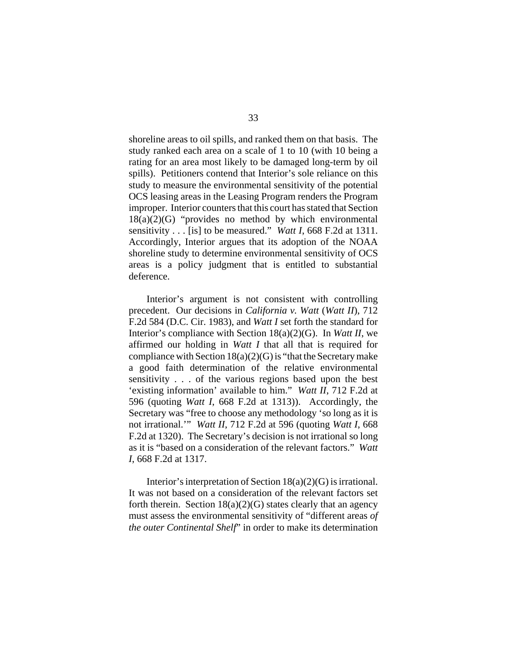shoreline areas to oil spills, and ranked them on that basis. The study ranked each area on a scale of 1 to 10 (with 10 being a rating for an area most likely to be damaged long-term by oil spills). Petitioners contend that Interior's sole reliance on this study to measure the environmental sensitivity of the potential OCS leasing areas in the Leasing Program renders the Program improper. Interior counters that this court has stated that Section  $18(a)(2)(G)$  "provides no method by which environmental sensitivity . . . [is] to be measured." *Watt I*, 668 F.2d at 1311. Accordingly, Interior argues that its adoption of the NOAA shoreline study to determine environmental sensitivity of OCS areas is a policy judgment that is entitled to substantial deference.

Interior's argument is not consistent with controlling precedent. Our decisions in *California v. Watt* (*Watt II*), 712 F.2d 584 (D.C. Cir. 1983), and *Watt I* set forth the standard for Interior's compliance with Section 18(a)(2)(G). In *Watt II*, we affirmed our holding in *Watt I* that all that is required for compliance with Section  $18(a)(2)(G)$  is "that the Secretary make a good faith determination of the relative environmental sensitivity . . . of the various regions based upon the best 'existing information' available to him." *Watt II*, 712 F.2d at 596 (quoting *Watt I*, 668 F.2d at 1313)). Accordingly, the Secretary was "free to choose any methodology 'so long as it is not irrational.'" *Watt II*, 712 F.2d at 596 (quoting *Watt I*, 668 F.2d at 1320). The Secretary's decision is not irrational so long as it is "based on a consideration of the relevant factors." *Watt I*, 668 F.2d at 1317.

Interior's interpretation of Section 18(a)(2)(G) is irrational. It was not based on a consideration of the relevant factors set forth therein. Section  $18(a)(2)(G)$  states clearly that an agency must assess the environmental sensitivity of "different areas *of the outer Continental Shelf*" in order to make its determination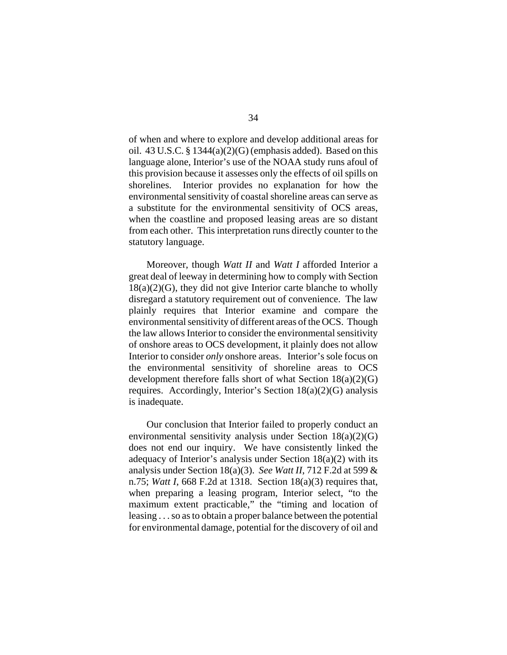of when and where to explore and develop additional areas for oil.  $43 \text{ U.S.C.}$  §  $1344(a)(2)(G)$  (emphasis added). Based on this language alone, Interior's use of the NOAA study runs afoul of this provision because it assesses only the effects of oil spills on shorelines. Interior provides no explanation for how the environmental sensitivity of coastal shoreline areas can serve as a substitute for the environmental sensitivity of OCS areas, when the coastline and proposed leasing areas are so distant from each other. This interpretation runs directly counter to the statutory language.

Moreover, though *Watt II* and *Watt I* afforded Interior a great deal of leeway in determining how to comply with Section  $18(a)(2)(G)$ , they did not give Interior carte blanche to wholly disregard a statutory requirement out of convenience. The law plainly requires that Interior examine and compare the environmental sensitivity of different areas of the OCS. Though the law allows Interior to consider the environmental sensitivity of onshore areas to OCS development, it plainly does not allow Interior to consider *only* onshore areas. Interior's sole focus on the environmental sensitivity of shoreline areas to OCS development therefore falls short of what Section 18(a)(2)(G) requires. Accordingly, Interior's Section 18(a)(2)(G) analysis is inadequate.

Our conclusion that Interior failed to properly conduct an environmental sensitivity analysis under Section 18(a)(2)(G) does not end our inquiry. We have consistently linked the adequacy of Interior's analysis under Section 18(a)(2) with its analysis under Section 18(a)(3). *See Watt II*, 712 F.2d at 599 & n.75; *Watt I*, 668 F.2d at 1318. Section 18(a)(3) requires that, when preparing a leasing program, Interior select, "to the maximum extent practicable," the "timing and location of leasing . . . so as to obtain a proper balance between the potential for environmental damage, potential for the discovery of oil and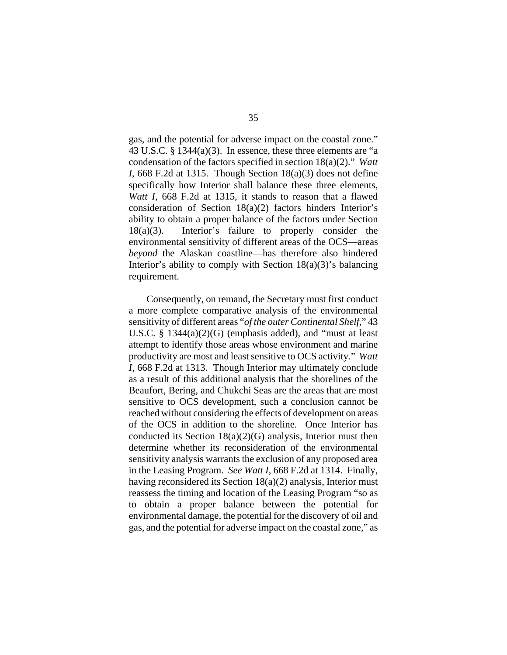gas, and the potential for adverse impact on the coastal zone." 43 U.S.C. § 1344(a)(3). In essence, these three elements are "a condensation of the factors specified in section 18(a)(2)." *Watt I*, 668 F.2d at 1315. Though Section 18(a)(3) does not define specifically how Interior shall balance these three elements, *Watt I*, 668 F.2d at 1315, it stands to reason that a flawed consideration of Section 18(a)(2) factors hinders Interior's ability to obtain a proper balance of the factors under Section 18(a)(3). Interior's failure to properly consider the environmental sensitivity of different areas of the OCS—areas *beyond* the Alaskan coastline—has therefore also hindered Interior's ability to comply with Section  $18(a)(3)$ 's balancing requirement.

Consequently, on remand, the Secretary must first conduct a more complete comparative analysis of the environmental sensitivity of different areas "*of the outer Continental Shelf*," 43 U.S.C. § 1344(a)(2)(G) (emphasis added), and "must at least attempt to identify those areas whose environment and marine productivity are most and least sensitive to OCS activity." *Watt I*, 668 F.2d at 1313. Though Interior may ultimately conclude as a result of this additional analysis that the shorelines of the Beaufort, Bering, and Chukchi Seas are the areas that are most sensitive to OCS development, such a conclusion cannot be reached without considering the effects of development on areas of the OCS in addition to the shoreline. Once Interior has conducted its Section 18(a)(2)(G) analysis, Interior must then determine whether its reconsideration of the environmental sensitivity analysis warrants the exclusion of any proposed area in the Leasing Program. *See Watt I*, 668 F.2d at 1314. Finally, having reconsidered its Section 18(a)(2) analysis, Interior must reassess the timing and location of the Leasing Program "so as to obtain a proper balance between the potential for environmental damage, the potential for the discovery of oil and gas, and the potential for adverse impact on the coastal zone," as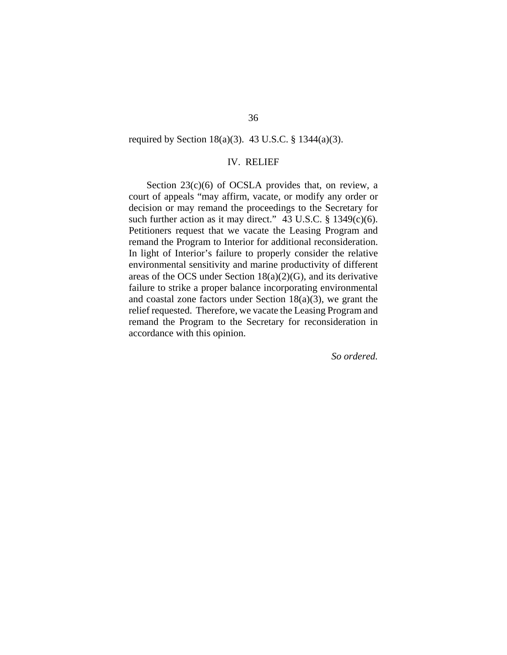## required by Section 18(a)(3). 43 U.S.C. § 1344(a)(3).

### IV. RELIEF

Section 23(c)(6) of OCSLA provides that, on review, a court of appeals "may affirm, vacate, or modify any order or decision or may remand the proceedings to the Secretary for such further action as it may direct."  $43 \text{ U.S.C.} \$   $1349(c)(6)$ . Petitioners request that we vacate the Leasing Program and remand the Program to Interior for additional reconsideration. In light of Interior's failure to properly consider the relative environmental sensitivity and marine productivity of different areas of the OCS under Section 18(a)(2)(G), and its derivative failure to strike a proper balance incorporating environmental and coastal zone factors under Section  $18(a)(3)$ , we grant the relief requested. Therefore, we vacate the Leasing Program and remand the Program to the Secretary for reconsideration in accordance with this opinion.

*So ordered.*